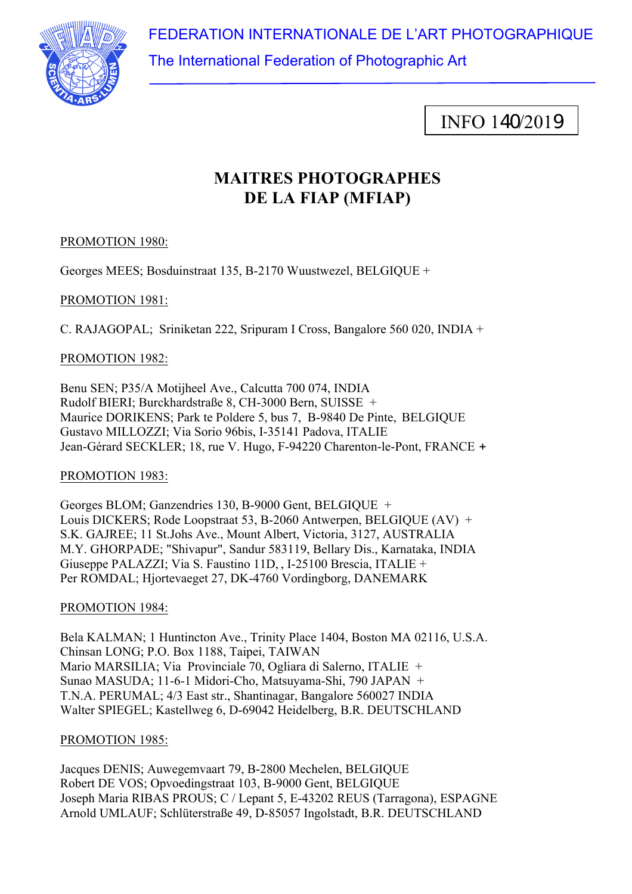FEDERATION INTERNATIONALE DE L'ART PHOTOGRAPHIQUE



The International Federation of Photographic Art

INFO 140/2019

# **MAITRES PHOTOGRAPHES DE LA FIAP (MFIAP)**

# PROMOTION 1980:

Georges MEES; Bosduinstraat 135, B-2170 Wuustwezel, BELGIQUE +

# PROMOTION 1981:

C. RAJAGOPAL; Sriniketan 222, Sripuram I Cross, Bangalore 560 020, INDIA +

# PROMOTION 1982:

Benu SEN; P35/A Motijheel Ave., Calcutta 700 074, INDIA Rudolf BIERI; Burckhardstraße 8, CH-3000 Bern, SUISSE + Maurice DORIKENS; Park te Poldere 5, bus 7, B-9840 De Pinte, BELGIQUE Gustavo MILLOZZI; Via Sorio 96bis, I-35141 Padova, ITALIE Jean-Gérard SECKLER; 18, rue V. Hugo, F-94220 Charenton-le-Pont, FRANCE +

PROMOTION 1983:

Georges BLOM; Ganzendries 130, B-9000 Gent, BELGIQUE + Louis DICKERS; Rode Loopstraat 53, B-2060 Antwerpen, BELGIOUE (AV) + S.K. GAJREE; 11 St.Johs Ave., Mount Albert, Victoria, 3127, AUSTRALIA M.Y. GHORPADE; "Shivapur", Sandur 583119, Bellary Dis., Karnataka, INDIA Giuseppe PALAZZI; Via S. Faustino 11D, , I-25100 Brescia, ITALIE + Per ROMDAL; Hjortevaeget 27, DK-4760 Vordingborg, DANEMARK

# PROMOTION 1984:

Bela KALMAN; 1 Huntincton Ave., Trinity Place 1404, Boston MA 02116, U.S.A. Chinsan LONG; P.O. Box 1188, Taipei, TAIWAN Mario MARSILIA; Via Provinciale 70, Ogliara di Salerno, ITALIE + Sunao MASUDA; 11-6-1 Midori-Cho, Matsuyama-Shi, 790 JAPAN + T.N.A. PERUMAL; 4/3 East str., Shantinagar, Bangalore 560027 INDIA Walter SPIEGEL; Kastellweg 6, D-69042 Heidelberg, B.R. DEUTSCHLAND

# PROMOTION 1985:

Jacques DENIS; Auwegemvaart 79, B-2800 Mechelen, BELGIQUE Robert DE VOS; Opvoedingstraat 103, B-9000 Gent, BELGIQUE Joseph Maria RIBAS PROUS; C / Lepant 5, E-43202 REUS (Tarragona), ESPAGNE Arnold UMLAUF; Schlüterstraße 49, D-85057 Ingolstadt, B.R. DEUTSCHLAND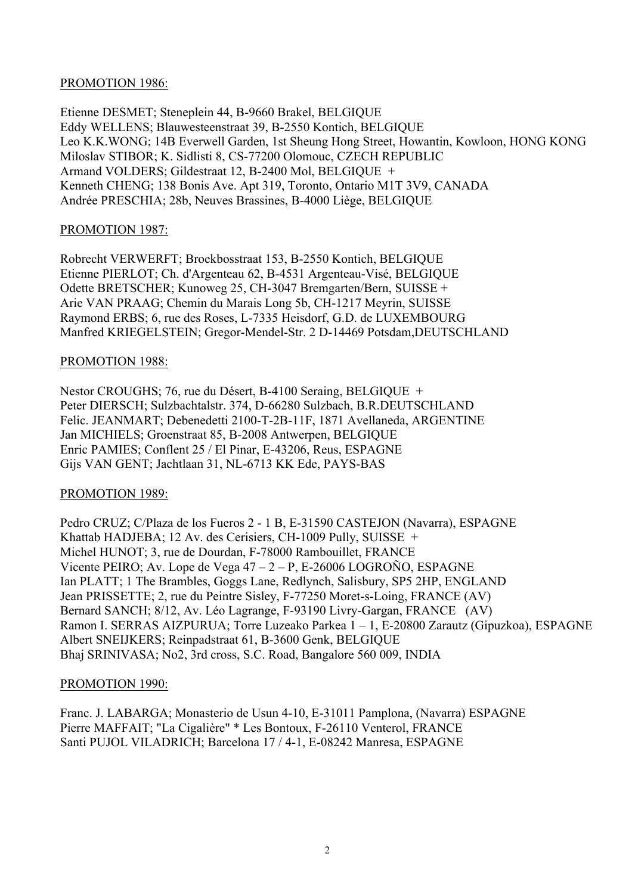#### PROMOTION 1986:

Etienne DESMET; Steneplein 44, B-9660 Brakel, BELGIQUE Eddy WELLENS; Blauwesteenstraat 39, B-2550 Kontich, BELGIQUE Leo K.K.WONG; 14B Everwell Garden, 1st Sheung Hong Street, Howantin, Kowloon, HONG KONG Miloslav STIBOR; K. Sidlisti 8, CS-77200 Olomouc, CZECH REPUBLIC Armand VOLDERS; Gildestraat 12, B-2400 Mol, BELGIQUE + Kenneth CHENG; 138 Bonis Ave. Apt 319, Toronto, Ontario M1T 3V9, CANADA Andrée PRESCHIA; 28b, Neuves Brassines, B-4000 Liège, BELGIQUE

## PROMOTION 1987:

Robrecht VERWERFT; Broekbosstraat 153, B-2550 Kontich, BELGIQUE Etienne PIERLOT; Ch. d'Argenteau 62, B-4531 Argenteau-Visé, BELGIQUE Odette BRETSCHER; Kunoweg 25, CH-3047 Bremgarten/Bern, SUISSE + Arie VAN PRAAG; Chemin du Marais Long 5b, CH-1217 Meyrin, SUISSE Raymond ERBS; 6, rue des Roses, L-7335 Heisdorf, G.D. de LUXEMBOURG Manfred KRIEGELSTEIN; Gregor-Mendel-Str. 2 D-14469 Potsdam,DEUTSCHLAND

#### PROMOTION 1988:

Nestor CROUGHS; 76, rue du Désert, B-4100 Seraing, BELGIQUE + Peter DIERSCH; Sulzbachtalstr. 374, D-66280 Sulzbach, B.R.DEUTSCHLAND Felic. JEANMART; Debenedetti 2100-T-2B-11F, 1871 Avellaneda, ARGENTINE Jan MICHIELS; Groenstraat 85, B-2008 Antwerpen, BELGIQUE Enric PAMIES; Conflent 25 / El Pinar, E-43206, Reus, ESPAGNE Gijs VAN GENT; Jachtlaan 31, NL-6713 KK Ede, PAYS-BAS

#### PROMOTION 1989:

Pedro CRUZ; C/Plaza de los Fueros 2 - 1 B, E-31590 CASTEJON (Navarra), ESPAGNE Khattab HADJEBA; 12 Av. des Cerisiers, CH-1009 Pully, SUISSE + Michel HUNOT; 3, rue de Dourdan, F-78000 Rambouillet, FRANCE Vicente PEIRO; Av. Lope de Vega 47 – 2 – P, E-26006 LOGROÑO, ESPAGNE Ian PLATT; 1 The Brambles, Goggs Lane, Redlynch, Salisbury, SP5 2HP, ENGLAND Jean PRISSETTE; 2, rue du Peintre Sisley, F-77250 Moret-s-Loing, FRANCE (AV) Bernard SANCH; 8/12, Av. Léo Lagrange, F-93190 Livry-Gargan, FRANCE (AV) Ramon I. SERRAS AIZPURUA; Torre Luzeako Parkea 1 – 1, E-20800 Zarautz (Gipuzkoa), ESPAGNE Albert SNEIJKERS; Reinpadstraat 61, B-3600 Genk, BELGIQUE Bhaj SRINIVASA; No2, 3rd cross, S.C. Road, Bangalore 560 009, INDIA

#### PROMOTION 1990:

Franc. J. LABARGA; Monasterio de Usun 4-10, E-31011 Pamplona, (Navarra) ESPAGNE Pierre MAFFAIT; "La Cigalière" \* Les Bontoux, F-26110 Venterol, FRANCE Santi PUJOL VILADRICH; Barcelona 17 / 4-1, E-08242 Manresa, ESPAGNE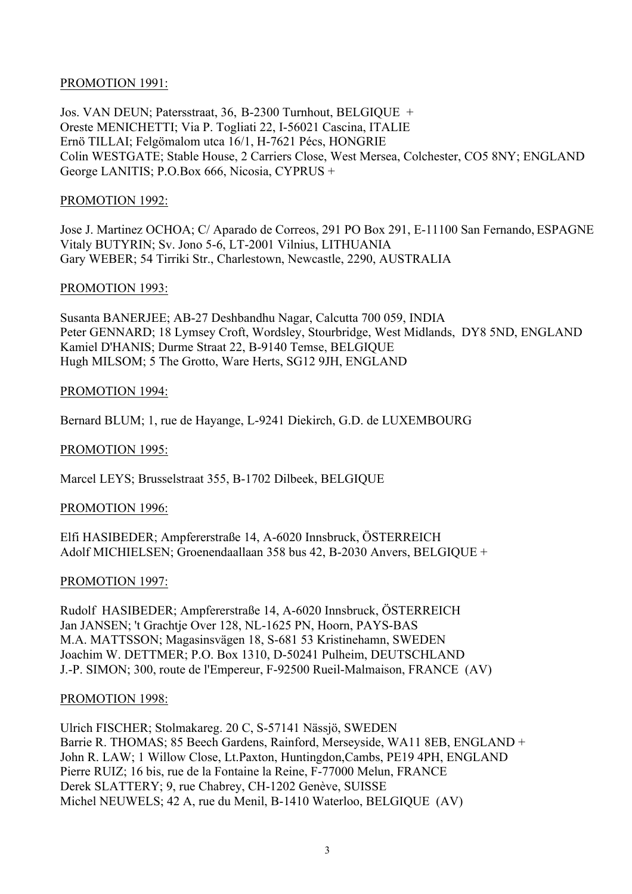#### PROMOTION 1991:

Jos. VAN DEUN; Patersstraat, 36, B-2300 Turnhout, BELGIQUE + Oreste MENICHETTI; Via P. Togliati 22, I-56021 Cascina, ITALIE Ernö TILLAI; Felgömalom utca 16/1, H-7621 Pécs, HONGRIE Colin WESTGATE; Stable House, 2 Carriers Close, West Mersea, Colchester, CO5 8NY; ENGLAND George LANITIS; P.O.Box 666, Nicosia, CYPRUS +

#### PROMOTION 1992:

Jose J. Martinez OCHOA; C/ Aparado de Correos, 291 PO Box 291, E-11100 San Fernando, ESPAGNE Vitaly BUTYRIN; Sv. Jono 5-6, LT-2001 Vilnius, LITHUANIA Gary WEBER; 54 Tirriki Str., Charlestown, Newcastle, 2290, AUSTRALIA

#### PROMOTION 1993:

Susanta BANERJEE; AB-27 Deshbandhu Nagar, Calcutta 700 059, INDIA Peter GENNARD; 18 Lymsey Croft, Wordsley, Stourbridge, West Midlands, DY8 5ND, ENGLAND Kamiel D'HANIS; Durme Straat 22, B-9140 Temse, BELGIQUE Hugh MILSOM; 5 The Grotto, Ware Herts, SG12 9JH, ENGLAND

#### PROMOTION 1994:

Bernard BLUM; 1, rue de Hayange, L-9241 Diekirch, G.D. de LUXEMBOURG

## PROMOTION 1995:

Marcel LEYS; Brusselstraat 355, B-1702 Dilbeek, BELGIQUE

#### PROMOTION 1996:

Elfi HASIBEDER; Ampfererstraße 14, A-6020 Innsbruck, ÖSTERREICH Adolf MICHIELSEN; Groenendaallaan 358 bus 42, B-2030 Anvers, BELGIQUE +

#### PROMOTION 1997:

Rudolf HASIBEDER; Ampfererstraße 14, A-6020 Innsbruck, ÖSTERREICH Jan JANSEN; 't Grachtje Over 128, NL-1625 PN, Hoorn, PAYS-BAS M.A. MATTSSON; Magasinsvägen 18, S-681 53 Kristinehamn, SWEDEN Joachim W. DETTMER; P.O. Box 1310, D-50241 Pulheim, DEUTSCHLAND J.-P. SIMON; 300, route de l'Empereur, F-92500 Rueil-Malmaison, FRANCE (AV)

#### PROMOTION 1998:

Ulrich FISCHER; Stolmakareg. 20 C, S-57141 Nässjö, SWEDEN Barrie R. THOMAS; 85 Beech Gardens, Rainford, Merseyside, WA11 8EB, ENGLAND + John R. LAW; 1 Willow Close, Lt.Paxton, Huntingdon,Cambs, PE19 4PH, ENGLAND Pierre RUIZ; 16 bis, rue de la Fontaine la Reine, F-77000 Melun, FRANCE Derek SLATTERY; 9, rue Chabrey, CH-1202 Genève, SUISSE Michel NEUWELS; 42 A, rue du Menil, B-1410 Waterloo, BELGIQUE (AV)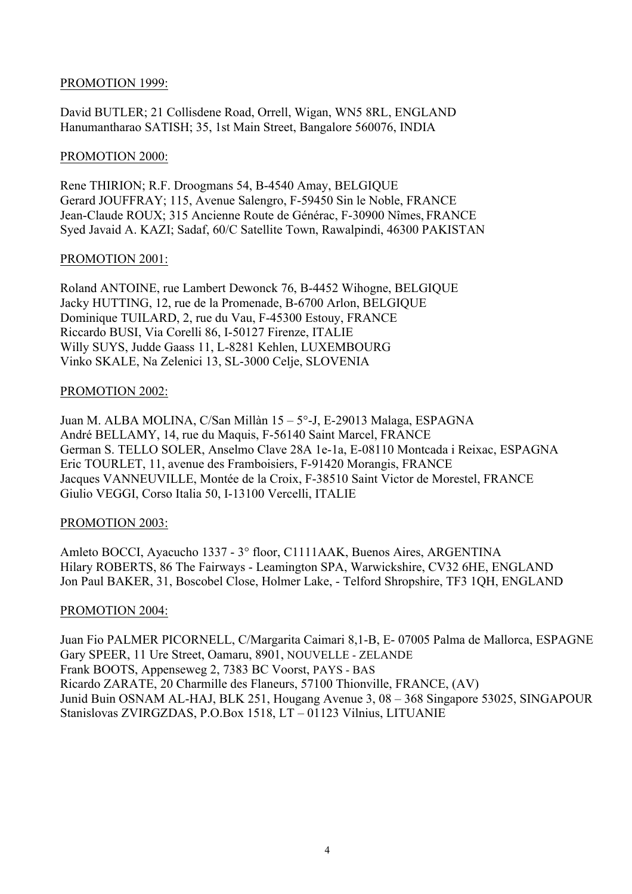#### PROMOTION 1999:

David BUTLER; 21 Collisdene Road, Orrell, Wigan, WN5 8RL, ENGLAND Hanumantharao SATISH; 35, 1st Main Street, Bangalore 560076, INDIA

#### PROMOTION 2000:

Rene THIRION; R.F. Droogmans 54, B-4540 Amay, BELGIQUE Gerard JOUFFRAY; 115, Avenue Salengro, F-59450 Sin le Noble, FRANCE Jean-Claude ROUX; 315 Ancienne Route de Générac, F-30900 Nîmes, FRANCE Syed Javaid A. KAZI; Sadaf, 60/C Satellite Town, Rawalpindi, 46300 PAKISTAN

#### PROMOTION 2001:

Roland ANTOINE, rue Lambert Dewonck 76, B-4452 Wihogne, BELGIQUE Jacky HUTTING, 12, rue de la Promenade, B-6700 Arlon, BELGIQUE Dominique TUILARD, 2, rue du Vau, F-45300 Estouy, FRANCE Riccardo BUSI, Via Corelli 86, I-50127 Firenze, ITALIE Willy SUYS, Judde Gaass 11, L-8281 Kehlen, LUXEMBOURG Vinko SKALE, Na Zelenici 13, SL-3000 Celje, SLOVENIA

# PROMOTION 2002:

Juan M. ALBA MOLINA, C/San Millàn 15 – 5°-J, E-29013 Malaga, ESPAGNA André BELLAMY, 14, rue du Maquis, F-56140 Saint Marcel, FRANCE German S. TELLO SOLER, Anselmo Clave 28A 1e-1a, E-08110 Montcada i Reixac, ESPAGNA Eric TOURLET, 11, avenue des Framboisiers, F-91420 Morangis, FRANCE Jacques VANNEUVILLE, Montée de la Croix, F-38510 Saint Victor de Morestel, FRANCE Giulio VEGGI, Corso Italia 50, I-13100 Vercelli, ITALIE

# PROMOTION 2003:

Amleto BOCCI, Ayacucho 1337 - 3° floor, C1111AAK, Buenos Aires, ARGENTINA Hilary ROBERTS, 86 The Fairways - Leamington SPA, Warwickshire, CV32 6HE, ENGLAND Jon Paul BAKER, 31, Boscobel Close, Holmer Lake, - Telford Shropshire, TF3 1QH, ENGLAND

#### PROMOTION 2004:

Juan Fio PALMER PICORNELL, C/Margarita Caimari 8,1-B, E- 07005 Palma de Mallorca, ESPAGNE Gary SPEER, 11 Ure Street, Oamaru, 8901, NOUVELLE - ZELANDE Frank BOOTS, Appenseweg 2, 7383 BC Voorst, PAYS - BAS Ricardo ZARATE, 20 Charmille des Flaneurs, 57100 Thionville, FRANCE, (AV) Junid Buin OSNAM AL-HAJ, BLK 251, Hougang Avenue 3, 08 – 368 Singapore 53025, SINGAPOUR Stanislovas ZVIRGZDAS, P.O.Box 1518, LT – 01123 Vilnius, LITUANIE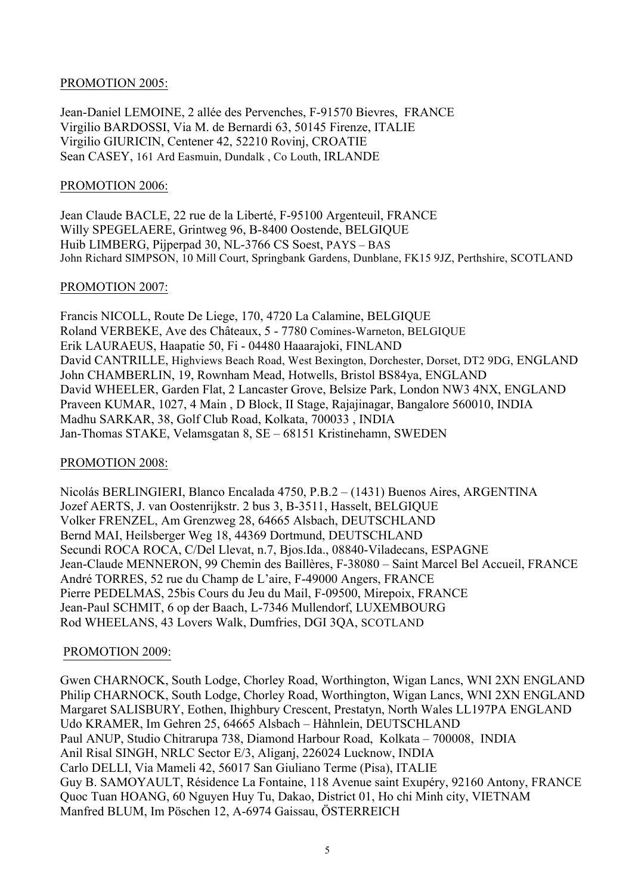#### PROMOTION 2005:

Jean-Daniel LEMOINE, 2 allée des Pervenches, F-91570 Bievres, FRANCE Virgilio BARDOSSI, Via M. de Bernardi 63, 50145 Firenze, ITALIE Virgilio GIURICIN, Centener 42, 52210 Rovinj, CROATIE Sean CASEY, 161 Ard Easmuin, Dundalk , Co Louth, IRLANDE

#### PROMOTION 2006:

Jean Claude BACLE, 22 rue de la Liberté, F-95100 Argenteuil, FRANCE Willy SPEGELAERE, Grintweg 96, B-8400 Oostende, BELGIQUE Huib LIMBERG, Pijperpad 30, NL-3766 CS Soest, PAYS – BAS John Richard SIMPSON, 10 Mill Court, Springbank Gardens, Dunblane, FK15 9JZ, Perthshire, SCOTLAND

#### PROMOTION 2007:

Francis NICOLL, Route De Liege, 170, 4720 La Calamine, BELGIQUE Roland VERBEKE, Ave des Châteaux, 5 - 7780 Comines-Warneton, BELGIQUE Erik LAURAEUS, Haapatie 50, Fi - 04480 Haaarajoki, FINLAND David CANTRILLE, Highviews Beach Road, West Bexington, Dorchester, Dorset, DT2 9DG, ENGLAND John CHAMBERLIN, 19, Rownham Mead, Hotwells, Bristol BS84ya, ENGLAND David WHEELER, Garden Flat, 2 Lancaster Grove, Belsize Park, London NW3 4NX, ENGLAND Praveen KUMAR, 1027, 4 Main , D Block, II Stage, Rajajinagar, Bangalore 560010, INDIA Madhu SARKAR, 38, Golf Club Road, Kolkata, 700033 , INDIA Jan-Thomas STAKE, Velamsgatan 8, SE – 68151 Kristinehamn, SWEDEN

# PROMOTION 2008:

Nicolás BERLINGIERI, Blanco Encalada 4750, P.B.2 – (1431) Buenos Aires, ARGENTINA Jozef AERTS, J. van Oostenrijkstr. 2 bus 3, B-3511, Hasselt, BELGIQUE Volker FRENZEL, Am Grenzweg 28, 64665 Alsbach, DEUTSCHLAND Bernd MAI, Heilsberger Weg 18, 44369 Dortmund, DEUTSCHLAND Secundi ROCA ROCA, C/Del Llevat, n.7, Bjos.Ida., 08840-Viladecans, ESPAGNE Jean-Claude MENNERON, 99 Chemin des Baillères, F-38080 – Saint Marcel Bel Accueil, FRANCE André TORRES, 52 rue du Champ de L'aire, F-49000 Angers, FRANCE Pierre PEDELMAS, 25bis Cours du Jeu du Mail, F-09500, Mirepoix, FRANCE Jean-Paul SCHMIT, 6 op der Baach, L-7346 Mullendorf, LUXEMBOURG Rod WHEELANS, 43 Lovers Walk, Dumfries, DGI 3QA, SCOTLAND

#### PROMOTION 2009:

Gwen CHARNOCK, South Lodge, Chorley Road, Worthington, Wigan Lancs, WNI 2XN ENGLAND Philip CHARNOCK, South Lodge, Chorley Road, Worthington, Wigan Lancs, WNI 2XN ENGLAND Margaret SALISBURY, Eothen, Ihighbury Crescent, Prestatyn, North Wales LL197PA ENGLAND Udo KRAMER, Im Gehren 25, 64665 Alsbach – Hàhnlein, DEUTSCHLAND Paul ANUP, Studio Chitrarupa 738, Diamond Harbour Road, Kolkata – 700008, INDIA Anil Risal SINGH, NRLC Sector E/3, Aliganj, 226024 Lucknow, INDIA Carlo DELLI, Via Mameli 42, 56017 San Giuliano Terme (Pisa), ITALIE Guy B. SAMOYAULT, Résidence La Fontaine, 118 Avenue saint Exupéry, 92160 Antony, FRANCE Quoc Tuan HOANG, 60 Nguyen Huy Tu, Dakao, District 01, Ho chi Minh city, VIETNAM Manfred BLUM, Im Pöschen 12, A-6974 Gaissau, ÖSTERREICH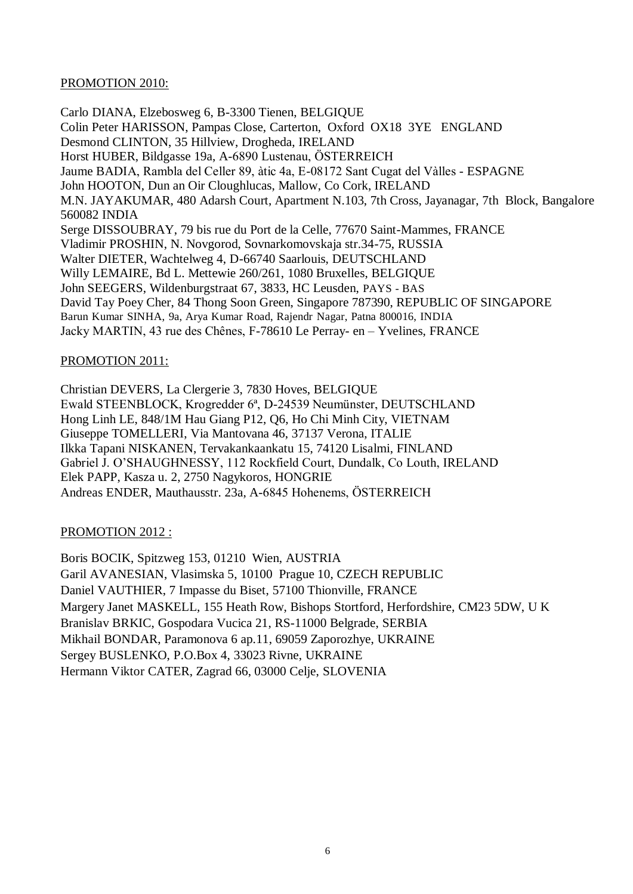#### PROMOTION 2010:

Carlo DIANA, Elzebosweg 6, B-3300 Tienen, BELGIQUE Colin Peter HARISSON, Pampas Close, Carterton, Oxford OX18 3YE ENGLAND Desmond CLINTON, 35 Hillview, Drogheda, IRELAND Horst HUBER, Bildgasse 19a, A-6890 Lustenau, ÖSTERREICH Jaume BADIA, Rambla del Celler 89, àtic 4a, E-08172 Sant Cugat del Vàlles - ESPAGNE John HOOTON, Dun an Oir Cloughlucas, Mallow, Co Cork, IRELAND M.N. JAYAKUMAR, 480 Adarsh Court, Apartment N.103, 7th Cross, Jayanagar, 7th Block, Bangalore 560082 INDIA Serge DISSOUBRAY, 79 bis rue du Port de la Celle, 77670 Saint-Mammes, FRANCE Vladimir PROSHIN, N. Novgorod, Sovnarkomovskaja str.34-75, RUSSIA Walter DIETER, Wachtelweg 4, D-66740 Saarlouis, DEUTSCHLAND Willy LEMAIRE, Bd L. Mettewie 260/261, 1080 Bruxelles, BELGIQUE John SEEGERS, Wildenburgstraat 67, 3833, HC Leusden, PAYS - BAS David Tay Poey Cher, 84 Thong Soon Green, Singapore 787390, REPUBLIC OF SINGAPORE Barun Kumar SINHA, 9a, Arya Kumar Road, Rajendr Nagar, Patna 800016, INDIA Jacky MARTIN, 43 rue des Chênes, F-78610 Le Perray- en – Yvelines, FRANCE

#### PROMOTION 2011:

Christian DEVERS, La Clergerie 3, 7830 Hoves, BELGIQUE Ewald STEENBLOCK, Krogredder 6ª, D-24539 Neumünster, DEUTSCHLAND Hong Linh LE, 848/1M Hau Giang P12, Q6, Ho Chi Minh City, VIETNAM Giuseppe TOMELLERI, Via Mantovana 46, 37137 Verona, ITALIE Ilkka Tapani NISKANEN, Tervakankaankatu 15, 74120 Lisalmi, FINLAND Gabriel J. O'SHAUGHNESSY, 112 Rockfield Court, Dundalk, Co Louth, IRELAND Elek PAPP, Kasza u. 2, 2750 Nagykoros, HONGRIE Andreas ENDER, Mauthausstr. 23a, A-6845 Hohenems, ÖSTERREICH

# PROMOTION 2012 :

Boris BOCIK, Spitzweg 153, 01210 Wien, AUSTRIA Garil AVANESIAN, Vlasimska 5, 10100 Prague 10, CZECH REPUBLIC Daniel VAUTHIER, 7 Impasse du Biset, 57100 Thionville, FRANCE Margery Janet MASKELL, 155 Heath Row, Bishops Stortford, Herfordshire, CM23 5DW, U K Branislav BRKIC, Gospodara Vucica 21, RS-11000 Belgrade, SERBIA Mikhail BONDAR, Paramonova 6 ap.11, 69059 Zaporozhye, UKRAINE Sergey BUSLENKO, P.O.Box 4, 33023 Rivne, UKRAINE Hermann Viktor CATER, Zagrad 66, 03000 Celje, SLOVENIA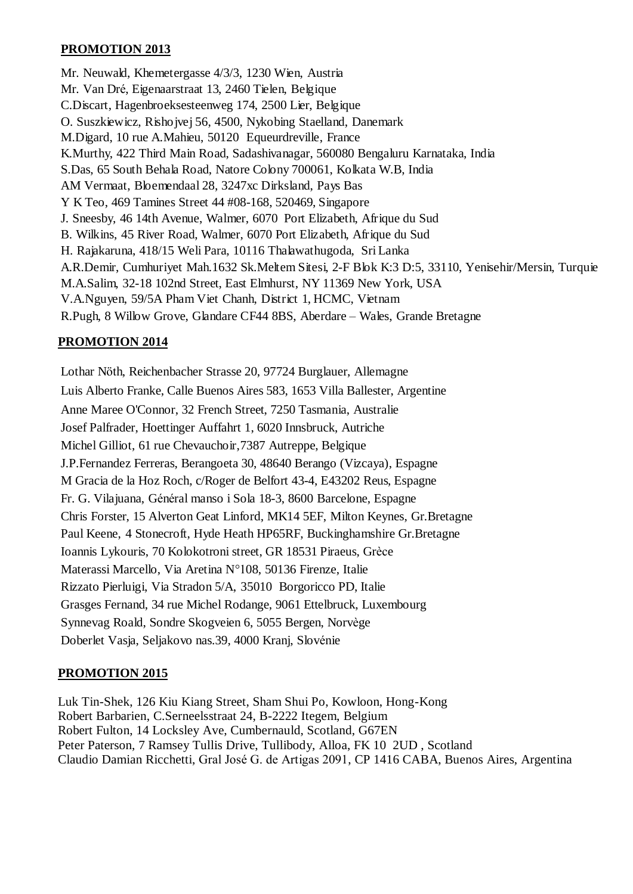# **PROMOTION 2013**

Mr. Neuwald, Khemetergasse 4/3/3, 1230 Wien, Austria Mr. Van Dré, Eigenaarstraat 13, 2460 Tielen, Belgique C.Discart, Hagenbroeksesteenweg 174, 2500 Lier, Belgique O. Suszkiewicz, Rishojvej 56, 4500, Nykobing Staelland, Danemark M.Digard, 10 rue A.Mahieu, 50120 Equeurdreville, France K.Murthy, 422 Third Main Road, Sadashivanagar, 560080 Bengaluru Karnataka, India S.Das, 65 South Behala Road, Natore Colony 700061, Kolkata W.B, India AM Vermaat, Bloemendaal 28, 3247xc Dirksland, Pays Bas Y K Teo, 469 Tamines Street 44 #08-168, 520469, Singapore J. Sneesby, 46 14th Avenue, Walmer, 6070 Port Elizabeth, Afrique du Sud B. Wilkins, 45 River Road, Walmer, 6070 Port Elizabeth, Afrique du Sud H. Rajakaruna, 418/15 Weli Para, 10116 Thalawathugoda, Sri Lanka A.R.Demir, Cumhuriyet Mah.1632 Sk.Meltem Sitesi, 2-F Blok K:3 D:5, 33110, Yenisehir/Mersin, Turquie M.A.Salim, 32-18 102nd Street, East Elmhurst, NY 11369 New York, USA V.A.Nguyen, 59/5A Pham Viet Chanh, District 1, HCMC, Vietnam R.Pugh, 8 Willow Grove, Glandare CF44 8BS, Aberdare – Wales, Grande Bretagne

# **PROMOTION 2014**

Lothar Nöth, Reichenbacher Strasse 20, 97724 Burglauer, Allemagne Luis Alberto Franke, Calle Buenos Aires 583, 1653 Villa Ballester, Argentine Anne Maree O'Connor, 32 French Street, 7250 Tasmania, Australie Josef Palfrader, Hoettinger Auffahrt 1, 6020 Innsbruck, Autriche Michel Gilliot, 61 rue Chevauchoir,7387 Autreppe, Belgique J.P.Fernandez Ferreras, Berangoeta 30, 48640 Berango (Vizcaya), Espagne M Gracia de la Hoz Roch, c/Roger de Belfort 43-4, E43202 Reus, Espagne Fr. G. Vilajuana, Général manso i Sola 18-3, 8600 Barcelone, Espagne Chris Forster, 15 Alverton Geat Linford, MK14 5EF, Milton Keynes, Gr.Bretagne Paul Keene, 4 Stonecroft, Hyde Heath HP65RF, Buckinghamshire Gr.Bretagne Ioannis Lykouris, 70 Kolokotroni street, GR 18531 Piraeus, Grèce Materassi Marcello, Via Aretina N°108, 50136 Firenze, Italie Rizzato Pierluigi, Via Stradon 5/A, 35010 Borgoricco PD, Italie Grasges Fernand, 34 rue Michel Rodange, 9061 Ettelbruck, Luxembourg Synnevag Roald, Sondre Skogveien 6, 5055 Bergen, Norvège Doberlet Vasja, Seljakovo nas.39, 4000 Kranj, Slovénie

# **PROMOTION 2015**

Luk Tin-Shek, 126 Kiu Kiang Street, Sham Shui Po, Kowloon, Hong-Kong Robert Barbarien, C.Serneelsstraat 24, B-2222 Itegem, Belgium Robert Fulton, 14 Locksley Ave, Cumbernauld, Scotland, G67EN Peter Paterson, 7 Ramsey Tullis Drive, Tullibody, Alloa, FK 10 2UD , Scotland Claudio Damian Ricchetti, Gral José G. de Artigas 2091, CP 1416 CABA, Buenos Aires, Argentina